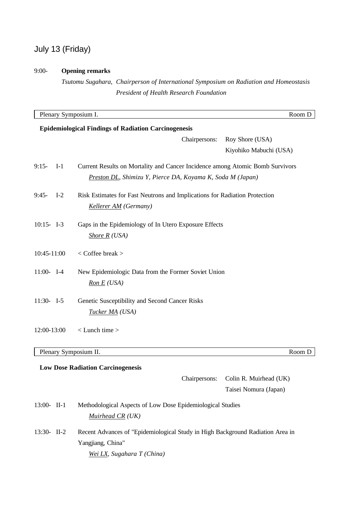# July 13 (Friday)

## 9:00- **Opening remarks**

Yangjiang, China"

*Wei LX, Sugahara T (China)*

*Tsutomu Sugahara, Chairperson of International Symposium on Radiation and Homeostasis President of Health Research Foundation*

|                         |       | Plenary Symposium I.                                                           | Room D                 |
|-------------------------|-------|--------------------------------------------------------------------------------|------------------------|
|                         |       | <b>Epidemiological Findings of Radiation Carcinogenesis</b>                    |                        |
|                         |       | Chairpersons:                                                                  | Roy Shore (USA)        |
|                         |       |                                                                                | Kiyohiko Mabuchi (USA) |
| $9:15-$                 | $I-1$ | Current Results on Mortality and Cancer Incidence among Atomic Bomb Survivors  |                        |
|                         |       | Preston DL, Shimizu Y, Pierce DA, Koyama K, Soda M (Japan)                     |                        |
| $9:45-$                 | $I-2$ | Risk Estimates for Fast Neutrons and Implications for Radiation Protection     |                        |
|                         |       | Kellerer AM (Germany)                                                          |                        |
| $10:15 - 1-3$           |       | Gaps in the Epidemiology of In Utero Exposure Effects                          |                        |
|                         |       | Shore $R$ (USA)                                                                |                        |
| 10:45-11:00             |       | $<$ Coffee break $>$                                                           |                        |
| $11:00-$ I-4            |       | New Epidemiologic Data from the Former Soviet Union                            |                        |
|                         |       | Ron E (USA)                                                                    |                        |
| $11:30 - 1.5$           |       | Genetic Susceptibility and Second Cancer Risks                                 |                        |
|                         |       | <u>Tucker MA</u> (USA)                                                         |                        |
| 12:00-13:00             |       | $<$ Lunch time $>$                                                             |                        |
|                         |       |                                                                                |                        |
|                         |       | Plenary Symposium II.                                                          | Room D                 |
|                         |       | <b>Low Dose Radiation Carcinogenesis</b>                                       |                        |
|                         |       | Chairpersons:                                                                  | Colin R. Muirhead (UK) |
|                         |       |                                                                                | Taisei Nomura (Japan)  |
| $13:00 - \text{II} - 1$ |       | Methodological Aspects of Low Dose Epidemiological Studies                     |                        |
|                         |       | Muirhead CR (UK)                                                               |                        |
| 13:30- II-2             |       | Recent Advances of "Epidemiological Study in High Background Radiation Area in |                        |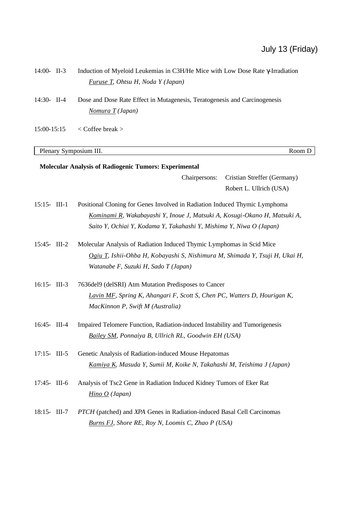| 14:00- II-3     | Induction of Myeloid Leukemias in C3H/He Mice with Low Dose Rate $\gamma$ -Irradiation                                                                                                       |                                                        |  |
|-----------------|----------------------------------------------------------------------------------------------------------------------------------------------------------------------------------------------|--------------------------------------------------------|--|
|                 | <b>Furuse T, Ohtsu H, Noda Y (Japan)</b>                                                                                                                                                     |                                                        |  |
| 14:30- II-4     | Dose and Dose Rate Effect in Mutagenesis, Teratogenesis and Carcinogenesis                                                                                                                   |                                                        |  |
|                 | Nomura T (Japan)                                                                                                                                                                             |                                                        |  |
| 15:00-15:15     | $<$ Coffee break $>$                                                                                                                                                                         |                                                        |  |
|                 | Plenary Symposium III.                                                                                                                                                                       | Room D                                                 |  |
|                 | <b>Molecular Analysis of Radiogenic Tumors: Experimental</b>                                                                                                                                 |                                                        |  |
|                 | Chairpersons:                                                                                                                                                                                | Cristian Streffer (Germany)<br>Robert L. Ullrich (USA) |  |
| $15:15$ - III-1 | Positional Cloning for Genes Involved in Radiation Induced Thymic Lymphoma                                                                                                                   |                                                        |  |
|                 | Kominami R, Wakabayashi Y, Inoue J, Matsuki A, Kosugi-Okano H, Matsuki A,<br>Saito Y, Ochiai Y, Kodama Y, Takahashi Y, Mishima Y, Niwa O (Japan)                                             |                                                        |  |
| 15:45- III-2    | Molecular Analysis of Radiation Induced Thymic Lymphomas in Scid Mice<br>Ogiu T, Ishii-Ohba H, Kobayashi S, Nishimura M, Shimada Y, Tsuji H, Ukai H,<br>Watanabe F, Suzuki H, Sado T (Japan) |                                                        |  |
| $16:15$ - III-3 | 7636del9 (delSRI) Atm Mutation Predisposes to Cancer<br>Lavin MF, Spring K, Ahangari F, Scott S, Chen PC, Watters D, Hourigan K,<br>MacKinnon P, Swift M (Australia)                         |                                                        |  |
| 16:45- III-4    | Impaired Telomere Function, Radiation-induced Instability and Tumorigenesis<br>Bailey SM, Ponnaiya B, Ullrich RL, Goodwin EH (USA)                                                           |                                                        |  |
| $17:15 - III-5$ | Genetic Analysis of Radiation-induced Mouse Hepatomas<br>Kamiya K, Masuda Y, Sumii M, Koike N, Takahashi M, Teishima J (Japan)                                                               |                                                        |  |
| 17:45- III-6    | Analysis of Tsc2 Gene in Radiation Induced Kidney Tumors of Eker Rat<br>Hino $O$ (Japan)                                                                                                     |                                                        |  |
| $18:15 - III-7$ | PTCH (patched) and XPA Genes in Radiation-induced Basal Cell Carcinomas<br><b>Burns FJ, Shore RE, Roy N, Loomis C, Zhao P (USA)</b>                                                          |                                                        |  |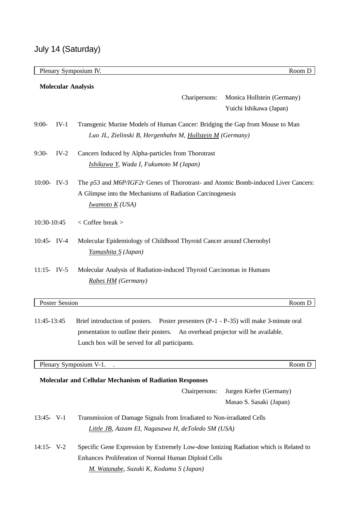|                |                                                | Plenary Symposium IV.                                                                 | Room D                     |  |  |
|----------------|------------------------------------------------|---------------------------------------------------------------------------------------|----------------------------|--|--|
|                |                                                | <b>Molecular Analysis</b>                                                             |                            |  |  |
|                |                                                | Charipersons:                                                                         | Monica Hollstein (Germany) |  |  |
|                |                                                |                                                                                       | Yuichi Ishikawa (Japan)    |  |  |
|                |                                                |                                                                                       |                            |  |  |
| $9:00-$        | $IV-1$                                         | Transgenic Murine Models of Human Cancer: Bridging the Gap from Mouse to Man          |                            |  |  |
|                |                                                | Luo JL, Zielinski B, Hergenhahn M, Hollstein M (Germany)                              |                            |  |  |
| $9:30-$        | $IV-2$                                         | Cancers Induced by Alpha-particles from Thorotrast                                    |                            |  |  |
|                |                                                | Ishikawa Y, Wada I, Fukumoto M (Japan)                                                |                            |  |  |
|                |                                                |                                                                                       |                            |  |  |
| 10:00- IV-3    |                                                | The p53 and M6P/IGF2r Genes of Thorotrast- and Atomic Bomb-induced Liver Cancers:     |                            |  |  |
|                |                                                | A Glimpse into the Mechanisms of Radiation Carcinogenesis                             |                            |  |  |
|                |                                                | <b>Iwamoto K</b> (USA)                                                                |                            |  |  |
| 10:30-10:45    |                                                | < Coffee break >                                                                      |                            |  |  |
|                |                                                |                                                                                       |                            |  |  |
| 10:45- IV-4    |                                                | Molecular Epidemiology of Childhood Thyroid Cancer around Chernobyl                   |                            |  |  |
|                |                                                | <u>Yamashita S</u> (Japan)                                                            |                            |  |  |
| $11:15 - IV-5$ |                                                | Molecular Analysis of Radiation-induced Thyroid Carcinomas in Humans                  |                            |  |  |
|                |                                                | Rabes HM (Germany)                                                                    |                            |  |  |
|                |                                                |                                                                                       |                            |  |  |
|                | <b>Poster Session</b>                          |                                                                                       | Room D                     |  |  |
|                |                                                |                                                                                       |                            |  |  |
| 11:45-13:45    |                                                | Brief introduction of posters. Poster presenters (P-1 - P-35) will make 3-minute oral |                            |  |  |
|                |                                                | presentation to outline their posters.<br>An overhead projector will be available.    |                            |  |  |
|                | Lunch box will be served for all participants. |                                                                                       |                            |  |  |
|                |                                                | Plenary Symposium V-1. .                                                              | Room D                     |  |  |
|                |                                                |                                                                                       |                            |  |  |
|                |                                                | <b>Molecular and Cellular Mechanism of Radiation Responses</b>                        |                            |  |  |
|                |                                                | Chairpersons:                                                                         | Jurgen Kiefer (Germany)    |  |  |
|                |                                                |                                                                                       | Masao S. Sasaki (Japan)    |  |  |

- 13:45- V-1 Transmission of Damage Signals from Irradiated to Non-irradiated Cells *Little JB, Azzam EI, Nagasawa H, deToledo SM (USA)*
- 14:15- V-2 Specific Gene Expression by Extremely Low-dose Ionizing Radiation which is Related to Enhances Proliferation of Normal Human Diploid Cells *M. Watanabe, Suzuki K, Kodama S (Japan)*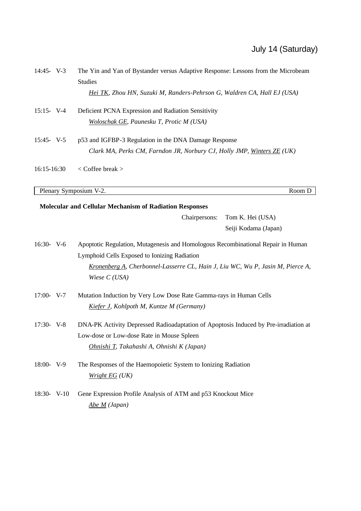| $14:45 - V-3$   | The Yin and Yan of Bystander versus Adaptive Response: Lessons from the Microbeam<br><b>Studies</b> |  |  |  |
|-----------------|-----------------------------------------------------------------------------------------------------|--|--|--|
|                 | Hei TK, Zhou HN, Suzuki M, Randers-Pehrson G, Waldren CA, Hall EJ (USA)                             |  |  |  |
| $15:15 - V-4$   | Deficient PCNA Expression and Radiation Sensitivity                                                 |  |  |  |
|                 | Woloschak GE, Paunesku T, Protic M (USA)                                                            |  |  |  |
| $15:45 - V-5$   | p53 and IGFBP-3 Regulation in the DNA Damage Response                                               |  |  |  |
|                 | Clark MA, Perks CM, Farndon JR, Norbury CJ, Holly JMP, Winters ZE (UK)                              |  |  |  |
| 16:15-16:30     | $\langle$ Coffee break $\rangle$                                                                    |  |  |  |
|                 | Plenary Symposium V-2.<br>Room D                                                                    |  |  |  |
|                 | Molecular and Cellular Mechanism of Radiation Responses                                             |  |  |  |
|                 | Chairpersons:<br>Tom K. Hei (USA)                                                                   |  |  |  |
|                 | Seiji Kodama (Japan)                                                                                |  |  |  |
| $16:30 - V - 6$ | Apoptotic Regulation, Mutagenesis and Homologous Recombinational Repair in Human                    |  |  |  |
|                 | Lymphoid Cells Exposed to Ionizing Radiation                                                        |  |  |  |
|                 | $K$ cononhora A Charbonnal Lassarra CI Hain I Liu WC Wu P Lasin M Piarca A                          |  |  |  |

*Kronenberg A, Cherbonnel-Lasserre CL, Hain J, Liu WC, Wu P, Jasin M, Pierce A, Wiese C (USA)*

- 17:00- V-7 Mutation Induction by Very Low Dose Rate Gamma-rays in Human Cells *Kiefer J, Kohlpoth M, Kuntze M (Germany)*
- 17:30- V-8 DNA-PK Activity Depressed Radioadaptation of Apoptosis Induced by Pre-irradiation at Low-dose or Low-dose Rate in Mouse Spleen *Ohnishi T, Takahashi A, Ohnishi K (Japan)*
- 18:00- V-9 The Responses of the Haemopoietic System to Ionizing Radiation *Wright EG (UK)*
- 18:30- V-10 Gene Expression Profile Analysis of ATM and p53 Knockout Mice *Abe M (Japan)*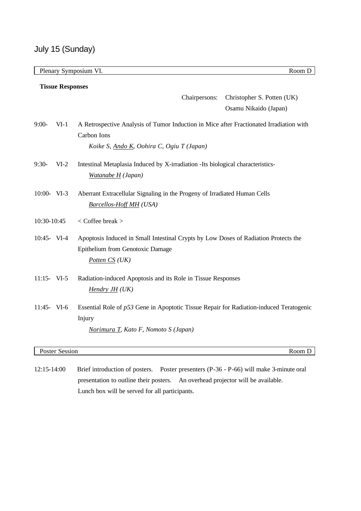|                |                         | Plenary Symposium VI.                                                                                                                               | Room D                     |  |  |
|----------------|-------------------------|-----------------------------------------------------------------------------------------------------------------------------------------------------|----------------------------|--|--|
|                | <b>Tissue Responses</b> |                                                                                                                                                     |                            |  |  |
|                |                         | Chairpersons:                                                                                                                                       | Christopher S. Potten (UK) |  |  |
|                |                         |                                                                                                                                                     | Osamu Nikaido (Japan)      |  |  |
| $9:00-$        | $VI-1$                  | A Retrospective Analysis of Tumor Induction in Mice after Fractionated Irradiation with<br>Carbon Ions<br>Koike S, Ando K, Oohira C, Ogiu T (Japan) |                            |  |  |
| $9:30-$        | $VI-2$                  | Intestinal Metaplasia Induced by X-irradiation -Its biological characteristics-<br>Watanabe H (Japan)                                               |                            |  |  |
| 10:00- VI-3    |                         | Aberrant Extracellular Signaling in the Progeny of Irradiated Human Cells<br><b>Barcellos-Hoff MH</b> (USA)                                         |                            |  |  |
| 10:30-10:45    |                         | < Coffee break >                                                                                                                                    |                            |  |  |
| 10:45- VI-4    |                         | Apoptosis Induced in Small Intestinal Crypts by Low Doses of Radiation Protects the<br>Epithelium from Genotoxic Damage<br>Potten CS (UK)           |                            |  |  |
| $11:15$ - VI-5 |                         | Radiation-induced Apoptosis and its Role in Tissue Responses<br>Hendry JH (UK)                                                                      |                            |  |  |
| 11:45- VI-6    |                         | Essential Role of p53 Gene in Apoptotic Tissue Repair for Radiation-induced Teratogenic<br>Injury<br>Norimura T, Kato F, Nomoto S (Japan)           |                            |  |  |
|                | Poster Session          |                                                                                                                                                     | Room D                     |  |  |

12:15-14:00 Brief introduction of posters. Poster presenters (P-36 - P-66) will make 3-minute oral presentation to outline their posters. An overhead projector will be available. Lunch box will be served for all participants.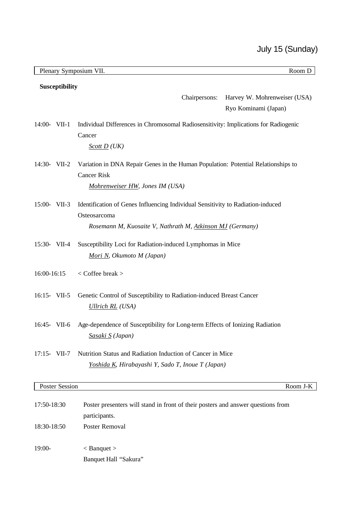|                            |  | Plenary Symposium VII.<br>Room D                                                                                                                             |  |  |  |
|----------------------------|--|--------------------------------------------------------------------------------------------------------------------------------------------------------------|--|--|--|
| Susceptibility             |  |                                                                                                                                                              |  |  |  |
|                            |  | Harvey W. Mohrenweiser (USA)<br>Chairpersons:<br>Ryo Kominami (Japan)                                                                                        |  |  |  |
| 14:00- VII-1               |  | Individual Differences in Chromosomal Radiosensitivity: Implications for Radiogenic<br>Cancer<br>$Scott D (UK)$                                              |  |  |  |
| 14:30- VII-2               |  | Variation in DNA Repair Genes in the Human Population: Potential Relationships to<br><b>Cancer Risk</b><br>Mohrenweiser HW, Jones IM (USA)                   |  |  |  |
| 15:00- VII-3               |  | Identification of Genes Influencing Individual Sensitivity to Radiation-induced<br>Osteosarcoma<br>Rosemann M, Kuosaite V, Nathrath M, Atkinson MJ (Germany) |  |  |  |
| 15:30- VII-4               |  | Susceptibility Loci for Radiation-induced Lymphomas in Mice<br>Mori N, Okumoto M (Japan)                                                                     |  |  |  |
| 16:00-16:15                |  | < Coffee break >                                                                                                                                             |  |  |  |
| $16:15$ - VII-5            |  | Genetic Control of Susceptibility to Radiation-induced Breast Cancer<br>Ullrich RL (USA)                                                                     |  |  |  |
| 16:45- VII-6               |  | Age-dependence of Susceptibility for Long-term Effects of Ionizing Radiation<br>Sasaki S (Japan)                                                             |  |  |  |
| $17:15$ - VII-7            |  | Nutrition Status and Radiation Induction of Cancer in Mice<br>Yoshida K, Hirabayashi Y, Sado T, Inoue T (Japan)                                              |  |  |  |
| <b>Poster Session</b>      |  | Room J-K                                                                                                                                                     |  |  |  |
| 17:50-18:30<br>18:30-18:50 |  | Poster presenters will stand in front of their posters and answer questions from<br>participants.<br>Poster Removal                                          |  |  |  |
| 19:00-                     |  | $<$ Banquet $>$<br>Banquet Hall "Sakura"                                                                                                                     |  |  |  |